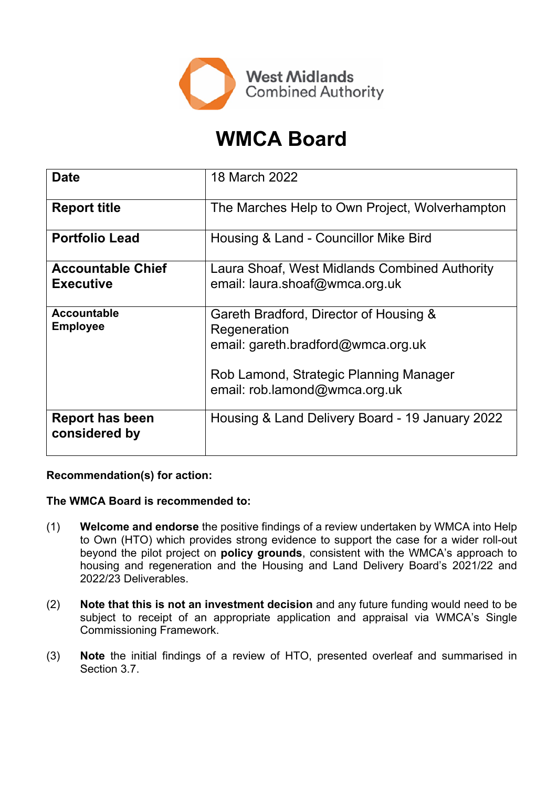

# **WMCA Board**

| <b>Date</b>                                  | 18 March 2022                                                                                                                                                           |
|----------------------------------------------|-------------------------------------------------------------------------------------------------------------------------------------------------------------------------|
| <b>Report title</b>                          | The Marches Help to Own Project, Wolverhampton                                                                                                                          |
| <b>Portfolio Lead</b>                        | Housing & Land - Councillor Mike Bird                                                                                                                                   |
| <b>Accountable Chief</b><br><b>Executive</b> | Laura Shoaf, West Midlands Combined Authority<br>email: laura.shoaf@wmca.org.uk                                                                                         |
| <b>Accountable</b><br><b>Employee</b>        | Gareth Bradford, Director of Housing &<br>Regeneration<br>email: gareth.bradford@wmca.org.uk<br>Rob Lamond, Strategic Planning Manager<br>email: rob.lamond@wmca.org.uk |
| Report has been<br>considered by             | Housing & Land Delivery Board - 19 January 2022                                                                                                                         |

# **Recommendation(s) for action:**

#### **The WMCA Board is recommended to:**

- (1) **Welcome and endorse** the positive findings of a review undertaken by WMCA into Help to Own (HTO) which provides strong evidence to support the case for a wider roll-out beyond the pilot project on **policy grounds**, consistent with the WMCA's approach to housing and regeneration and the Housing and Land Delivery Board's 2021/22 and 2022/23 Deliverables.
- (2) **Note that this is not an investment decision** and any future funding would need to be subject to receipt of an appropriate application and appraisal via WMCA's Single Commissioning Framework.
- (3) **Note** the initial findings of a review of HTO, presented overleaf and summarised in Section 3.7.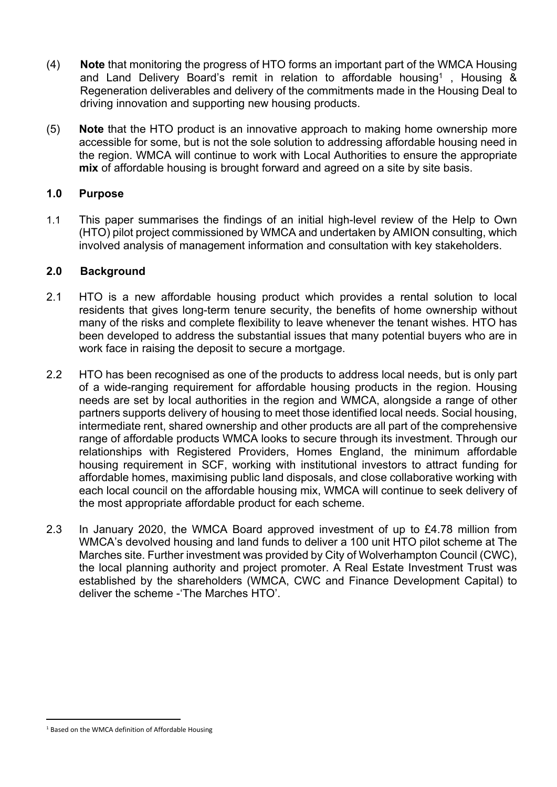- (4) **Note** that monitoring the progress of HTO forms an important part of the WMCA Housing and Land Delivery Board's remit in relation to affordable housing<sup>1</sup>, Housing & Regeneration deliverables and delivery of the commitments made in the Housing Deal to driving innovation and supporting new housing products.
- (5) **Note** that the HTO product is an innovative approach to making home ownership more accessible for some, but is not the sole solution to addressing affordable housing need in the region. WMCA will continue to work with Local Authorities to ensure the appropriate **mix** of affordable housing is brought forward and agreed on a site by site basis.

#### **1.0 Purpose**

1.1 This paper summarises the findings of an initial high-level review of the Help to Own (HTO) pilot project commissioned by WMCA and undertaken by AMION consulting, which involved analysis of management information and consultation with key stakeholders.

#### **2.0 Background**

- 2.1 HTO is a new affordable housing product which provides a rental solution to local residents that gives long-term tenure security, the benefits of home ownership without many of the risks and complete flexibility to leave whenever the tenant wishes. HTO has been developed to address the substantial issues that many potential buyers who are in work face in raising the deposit to secure a mortgage.
- 2.2 HTO has been recognised as one of the products to address local needs, but is only part of a wide-ranging requirement for affordable housing products in the region. Housing needs are set by local authorities in the region and WMCA, alongside a range of other partners supports delivery of housing to meet those identified local needs. Social housing, intermediate rent, shared ownership and other products are all part of the comprehensive range of affordable products WMCA looks to secure through its investment. Through our relationships with Registered Providers, Homes England, the minimum affordable housing requirement in SCF, working with institutional investors to attract funding for affordable homes, maximising public land disposals, and close collaborative working with each local council on the affordable housing mix, WMCA will continue to seek delivery of the most appropriate affordable product for each scheme.
- 2.3 In January 2020, the WMCA Board approved investment of up to £4.78 million from WMCA's devolved housing and land funds to deliver a 100 unit HTO pilot scheme at The Marches site. Further investment was provided by City of Wolverhampton Council (CWC), the local planning authority and project promoter. A Real Estate Investment Trust was established by the shareholders (WMCA, CWC and Finance Development Capital) to deliver the scheme -'The Marches HTO'.

<sup>1</sup> Based on the WMCA definition of Affordable Housing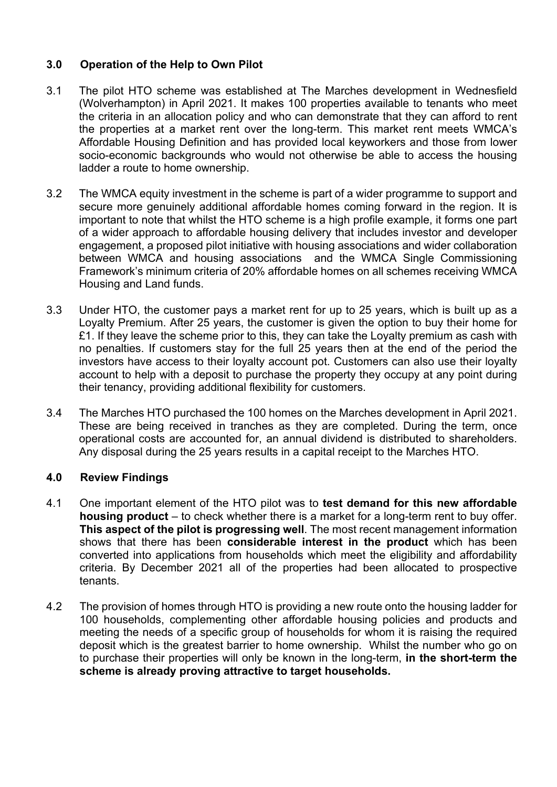## **3.0 Operation of the Help to Own Pilot**

- 3.1 The pilot HTO scheme was established at The Marches development in Wednesfield (Wolverhampton) in April 2021. It makes 100 properties available to tenants who meet the criteria in an allocation policy and who can demonstrate that they can afford to rent the properties at a market rent over the long-term. This market rent meets WMCA's Affordable Housing Definition and has provided local keyworkers and those from lower socio-economic backgrounds who would not otherwise be able to access the housing ladder a route to home ownership.
- 3.2 The WMCA equity investment in the scheme is part of a wider programme to support and secure more genuinely additional affordable homes coming forward in the region. It is important to note that whilst the HTO scheme is a high profile example, it forms one part of a wider approach to affordable housing delivery that includes investor and developer engagement, a proposed pilot initiative with housing associations and wider collaboration between WMCA and housing associations and the WMCA Single Commissioning Framework's minimum criteria of 20% affordable homes on all schemes receiving WMCA Housing and Land funds.
- 3.3 Under HTO, the customer pays a market rent for up to 25 years, which is built up as a Loyalty Premium. After 25 years, the customer is given the option to buy their home for £1. If they leave the scheme prior to this, they can take the Loyalty premium as cash with no penalties. If customers stay for the full 25 years then at the end of the period the investors have access to their loyalty account pot. Customers can also use their loyalty account to help with a deposit to purchase the property they occupy at any point during their tenancy, providing additional flexibility for customers.
- 3.4 The Marches HTO purchased the 100 homes on the Marches development in April 2021. These are being received in tranches as they are completed. During the term, once operational costs are accounted for, an annual dividend is distributed to shareholders. Any disposal during the 25 years results in a capital receipt to the Marches HTO.

# **4.0 Review Findings**

- 4.1 One important element of the HTO pilot was to **test demand for this new affordable housing product** – to check whether there is a market for a long-term rent to buy offer. **This aspect of the pilot is progressing well**. The most recent management information shows that there has been **considerable interest in the product** which has been converted into applications from households which meet the eligibility and affordability criteria. By December 2021 all of the properties had been allocated to prospective tenants.
- 4.2 The provision of homes through HTO is providing a new route onto the housing ladder for 100 households, complementing other affordable housing policies and products and meeting the needs of a specific group of households for whom it is raising the required deposit which is the greatest barrier to home ownership. Whilst the number who go on to purchase their properties will only be known in the long-term, **in the short-term the scheme is already proving attractive to target households.**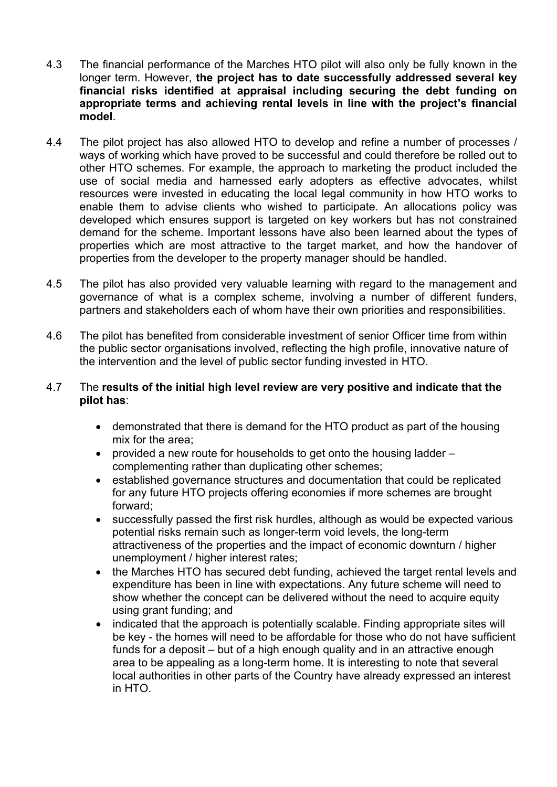- 4.3 The financial performance of the Marches HTO pilot will also only be fully known in the longer term. However, **the project has to date successfully addressed several key financial risks identified at appraisal including securing the debt funding on appropriate terms and achieving rental levels in line with the project's financial model**.
- 4.4 The pilot project has also allowed HTO to develop and refine a number of processes / ways of working which have proved to be successful and could therefore be rolled out to other HTO schemes. For example, the approach to marketing the product included the use of social media and harnessed early adopters as effective advocates, whilst resources were invested in educating the local legal community in how HTO works to enable them to advise clients who wished to participate. An allocations policy was developed which ensures support is targeted on key workers but has not constrained demand for the scheme. Important lessons have also been learned about the types of properties which are most attractive to the target market, and how the handover of properties from the developer to the property manager should be handled.
- 4.5 The pilot has also provided very valuable learning with regard to the management and governance of what is a complex scheme, involving a number of different funders, partners and stakeholders each of whom have their own priorities and responsibilities.
- 4.6 The pilot has benefited from considerable investment of senior Officer time from within the public sector organisations involved, reflecting the high profile, innovative nature of the intervention and the level of public sector funding invested in HTO.

## 4.7 The **results of the initial high level review are very positive and indicate that the pilot has**:

- demonstrated that there is demand for the HTO product as part of the housing mix for the area;
- provided a new route for households to get onto the housing ladder complementing rather than duplicating other schemes;
- established governance structures and documentation that could be replicated for any future HTO projects offering economies if more schemes are brought forward;
- successfully passed the first risk hurdles, although as would be expected various potential risks remain such as longer-term void levels, the long-term attractiveness of the properties and the impact of economic downturn / higher unemployment / higher interest rates;
- the Marches HTO has secured debt funding, achieved the target rental levels and expenditure has been in line with expectations. Any future scheme will need to show whether the concept can be delivered without the need to acquire equity using grant funding; and
- indicated that the approach is potentially scalable. Finding appropriate sites will be key - the homes will need to be affordable for those who do not have sufficient funds for a deposit – but of a high enough quality and in an attractive enough area to be appealing as a long-term home. It is interesting to note that several local authorities in other parts of the Country have already expressed an interest in HTO.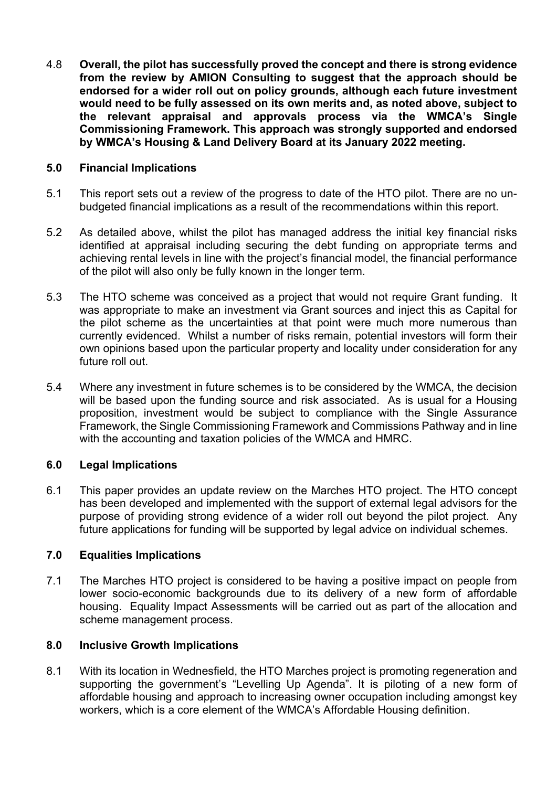4.8 **Overall, the pilot has successfully proved the concept and there is strong evidence from the review by AMION Consulting to suggest that the approach should be endorsed for a wider roll out on policy grounds, although each future investment would need to be fully assessed on its own merits and, as noted above, subject to the relevant appraisal and approvals process via the WMCA's Single Commissioning Framework. This approach was strongly supported and endorsed by WMCA's Housing & Land Delivery Board at its January 2022 meeting.**

## **5.0 Financial Implications**

- 5.1 This report sets out a review of the progress to date of the HTO pilot. There are no unbudgeted financial implications as a result of the recommendations within this report.
- 5.2 As detailed above, whilst the pilot has managed address the initial key financial risks identified at appraisal including securing the debt funding on appropriate terms and achieving rental levels in line with the project's financial model, the financial performance of the pilot will also only be fully known in the longer term.
- 5.3 The HTO scheme was conceived as a project that would not require Grant funding. It was appropriate to make an investment via Grant sources and inject this as Capital for the pilot scheme as the uncertainties at that point were much more numerous than currently evidenced. Whilst a number of risks remain, potential investors will form their own opinions based upon the particular property and locality under consideration for any future roll out.
- 5.4 Where any investment in future schemes is to be considered by the WMCA, the decision will be based upon the funding source and risk associated. As is usual for a Housing proposition, investment would be subject to compliance with the Single Assurance Framework, the Single Commissioning Framework and Commissions Pathway and in line with the accounting and taxation policies of the WMCA and HMRC.

# **6.0 Legal Implications**

6.1 This paper provides an update review on the Marches HTO project. The HTO concept has been developed and implemented with the support of external legal advisors for the purpose of providing strong evidence of a wider roll out beyond the pilot project. Any future applications for funding will be supported by legal advice on individual schemes.

# **7.0 Equalities Implications**

7.1 The Marches HTO project is considered to be having a positive impact on people from lower socio-economic backgrounds due to its delivery of a new form of affordable housing. Equality Impact Assessments will be carried out as part of the allocation and scheme management process.

#### **8.0 Inclusive Growth Implications**

8.1 With its location in Wednesfield, the HTO Marches project is promoting regeneration and supporting the government's "Levelling Up Agenda". It is piloting of a new form of affordable housing and approach to increasing owner occupation including amongst key workers, which is a core element of the WMCA's Affordable Housing definition.